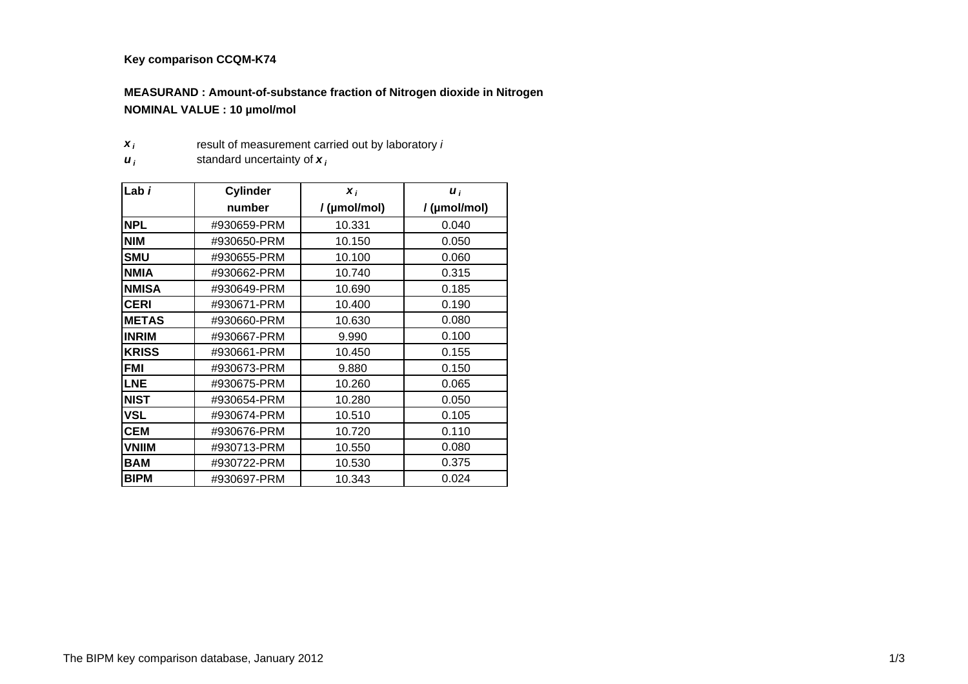## **Key comparison CCQM-K74**

## **MEASURAND : Amount-of-substance fraction of Nitrogen dioxide in Nitrogen NOMINAL VALUE : 10 µmol/mol**

- *x i*result of measurement carried out by laboratory *i*
- *u i*standard uncertainty of *<sup>x</sup> <sup>i</sup>*

| Lab i        | <b>Cylinder</b> | $\boldsymbol{x}_i$ | $\boldsymbol{u}_i$ |  |
|--------------|-----------------|--------------------|--------------------|--|
|              | number          | /(µmol/mol)        | / (µmol/mol)       |  |
| <b>NPL</b>   | #930659-PRM     | 10.331             | 0.040              |  |
| <b>NIM</b>   | #930650-PRM     | 10.150             | 0.050              |  |
| <b>SMU</b>   | #930655-PRM     | 10.100             | 0.060              |  |
| <b>NMIA</b>  | #930662-PRM     | 10.740             | 0.315              |  |
| <b>NMISA</b> | #930649-PRM     | 10.690             | 0.185              |  |
| <b>CERI</b>  | #930671-PRM     | 10.400             | 0.190              |  |
| <b>METAS</b> | #930660-PRM     | 10.630             | 0.080              |  |
| <b>INRIM</b> | #930667-PRM     | 9.990              | 0.100              |  |
| <b>KRISS</b> | #930661-PRM     | 10.450             | 0.155              |  |
| <b>FMI</b>   | #930673-PRM     | 9.880              | 0.150              |  |
| <b>LNE</b>   | #930675-PRM     | 10.260             | 0.065              |  |
| <b>NIST</b>  | #930654-PRM     | 10.280             | 0.050              |  |
| <b>VSL</b>   | #930674-PRM     | 10.510             | 0.105              |  |
| <b>CEM</b>   | #930676-PRM     | 10.720             | 0.110              |  |
| <b>VNIIM</b> | #930713-PRM     | 10.550             | 0.080              |  |
| <b>BAM</b>   | #930722-PRM     | 10.530             | 0.375              |  |
| <b>BIPM</b>  | #930697-PRM     | 10.343             | 0.024              |  |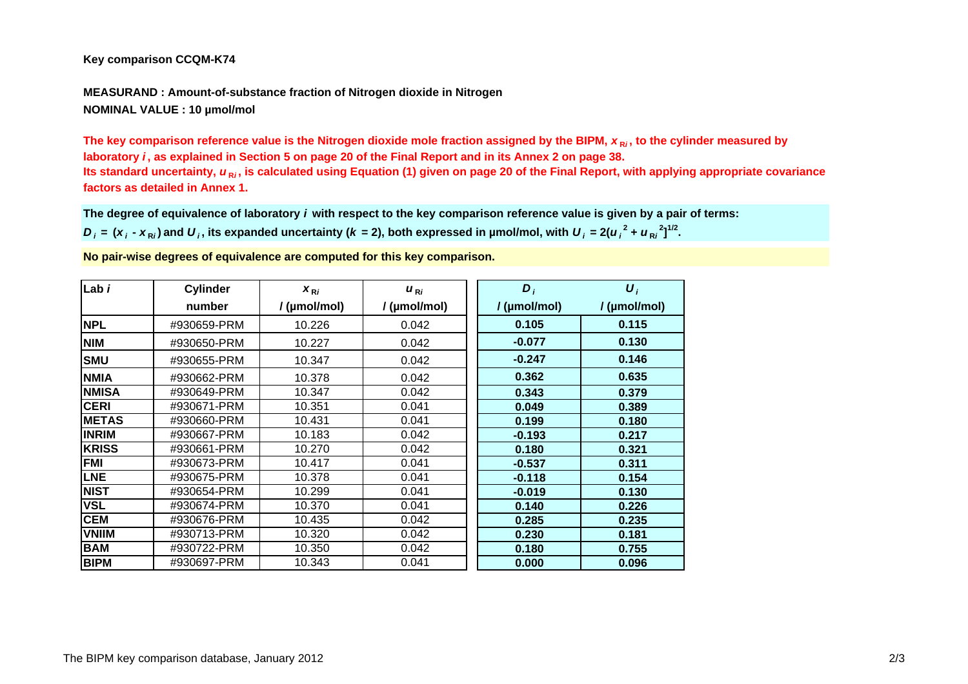## **Key comparison CCQM-K74**

**MEASURAND : Amount-of-substance fraction of Nitrogen dioxide in Nitrogen NOMINAL VALUE : 10 µmol/mol**

The key comparison reference value is the Nitrogen dioxide mole fraction assigned by the BIPM,  $\bm{x}_\mathsf{R}{}_{\pmb{i}},$  to the cylinder measured by **laboratory** *i* **, as explained in Section 5 on page 20 of the Final Report and in its Annex 2 on page 38.**  Its standard uncertainty, *u*<sub>R*i*</sub>, is calculated using Equation (1) given on page 20 of the Final Report, with applying appropriate covariance **factors as detailed in Annex 1.**

**The degree of equivalence of laboratory** *i* **with respect to the key comparison reference value is given by a pair of terms:**

 $D_i = (x_i - x_{\rm Ri})$  and  $U_i$ , its expanded uncertainty (k = 2), both expressed in µmol/mol, with  $U_i = 2(u_i^2 + u_{\rm Ri}^2)^{1/2}$ .

**No pair-wise degrees of equivalence are computed for this key comparison.**

| Lab i        | <b>Cylinder</b> | $X_{\text{R}i}$ | $u_{\text{R}i}$ | $D_i$        | $\boldsymbol{U}_i$ |
|--------------|-----------------|-----------------|-----------------|--------------|--------------------|
|              | number          | / (µmol/mol)    | / (µmol/mol)    | / (µmol/mol) | / (µmol/mol)       |
| <b>NPL</b>   | #930659-PRM     | 10.226          | 0.042           | 0.105        | 0.115              |
| <b>NIM</b>   | #930650-PRM     | 10.227          | 0.042           | $-0.077$     | 0.130              |
| <b>SMU</b>   | #930655-PRM     | 10.347          | 0.042           | $-0.247$     | 0.146              |
| <b>NMIA</b>  | #930662-PRM     | 10.378          | 0.042           | 0.362        | 0.635              |
| <b>NMISA</b> | #930649-PRM     | 10.347          | 0.042           | 0.343        | 0.379              |
| <b>CERI</b>  | #930671-PRM     | 10.351          | 0.041           | 0.049        | 0.389              |
| <b>METAS</b> | #930660-PRM     | 10.431          | 0.041           | 0.199        | 0.180              |
| <b>INRIM</b> | #930667-PRM     | 10.183          | 0.042           | $-0.193$     | 0.217              |
| <b>KRISS</b> | #930661-PRM     | 10.270          | 0.042           | 0.180        | 0.321              |
| <b>FMI</b>   | #930673-PRM     | 10.417          | 0.041           | $-0.537$     | 0.311              |
| <b>LNE</b>   | #930675-PRM     | 10.378          | 0.041           | $-0.118$     | 0.154              |
| <b>NIST</b>  | #930654-PRM     | 10.299          | 0.041           | $-0.019$     | 0.130              |
| <b>VSL</b>   | #930674-PRM     | 10.370          | 0.041           | 0.140        | 0.226              |
| <b>CEM</b>   | #930676-PRM     | 10.435          | 0.042           | 0.285        | 0.235              |
| <b>VNIIM</b> | #930713-PRM     | 10.320          | 0.042           | 0.230        | 0.181              |
| <b>BAM</b>   | #930722-PRM     | 10.350          | 0.042           | 0.180        | 0.755              |
| <b>BIPM</b>  | #930697-PRM     | 10.343          | 0.041           | 0.000        | 0.096              |